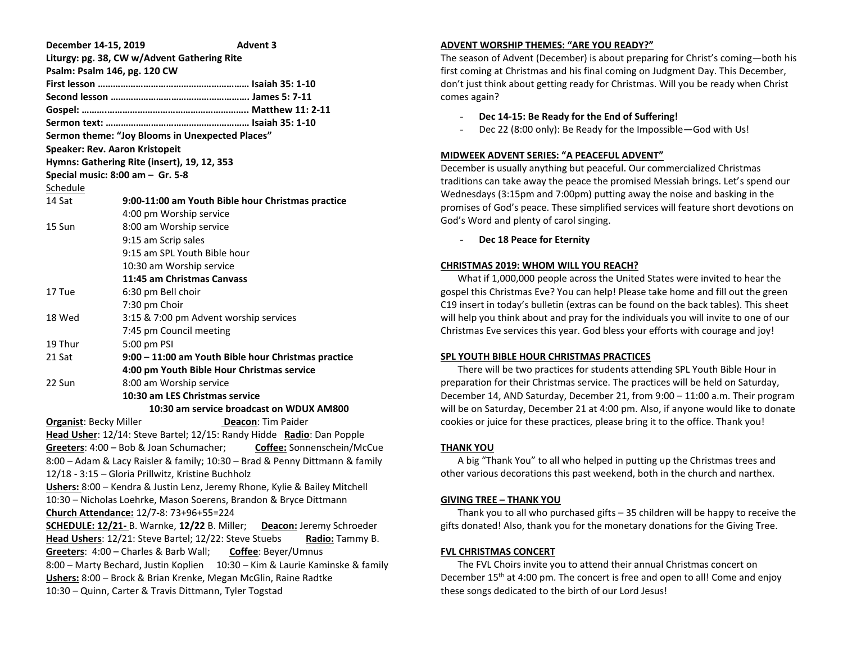| December 14-15, 2019                                                           | <b>Advent 3</b>                                                             |  |  |
|--------------------------------------------------------------------------------|-----------------------------------------------------------------------------|--|--|
|                                                                                | Liturgy: pg. 38, CW w/Advent Gathering Rite                                 |  |  |
| Psalm: Psalm 146, pg. 120 CW                                                   |                                                                             |  |  |
|                                                                                |                                                                             |  |  |
|                                                                                |                                                                             |  |  |
|                                                                                |                                                                             |  |  |
|                                                                                |                                                                             |  |  |
| Sermon theme: "Joy Blooms in Unexpected Places"                                |                                                                             |  |  |
| Speaker: Rev. Aaron Kristopeit                                                 |                                                                             |  |  |
| Hymns: Gathering Rite (insert), 19, 12, 353                                    |                                                                             |  |  |
| Special music: 8:00 am - Gr. 5-8                                               |                                                                             |  |  |
| Schedule                                                                       |                                                                             |  |  |
| 14 Sat                                                                         | 9:00-11:00 am Youth Bible hour Christmas practice                           |  |  |
|                                                                                | 4:00 pm Worship service                                                     |  |  |
| 15 Sun                                                                         | 8:00 am Worship service                                                     |  |  |
|                                                                                | 9:15 am Scrip sales                                                         |  |  |
|                                                                                | 9:15 am SPL Youth Bible hour                                                |  |  |
|                                                                                | 10:30 am Worship service                                                    |  |  |
|                                                                                | 11:45 am Christmas Canvass                                                  |  |  |
| 17 Tue                                                                         | 6:30 pm Bell choir                                                          |  |  |
|                                                                                | 7:30 pm Choir                                                               |  |  |
| 18 Wed                                                                         | 3:15 & 7:00 pm Advent worship services                                      |  |  |
|                                                                                | 7:45 pm Council meeting                                                     |  |  |
| 19 Thur                                                                        | 5:00 pm PSI                                                                 |  |  |
| 21 Sat                                                                         | 9:00 - 11:00 am Youth Bible hour Christmas practice                         |  |  |
| 4:00 pm Youth Bible Hour Christmas service                                     |                                                                             |  |  |
| 22 Sun                                                                         | 8:00 am Worship service                                                     |  |  |
|                                                                                | 10:30 am LES Christmas service                                              |  |  |
| 10:30 am service broadcast on WDUX AM800                                       |                                                                             |  |  |
| <b>Organist: Becky Miller</b><br><b>Deacon: Tim Paider</b>                     |                                                                             |  |  |
| Head Usher: 12/14: Steve Bartel; 12/15: Randy Hidde Radio: Dan Popple          |                                                                             |  |  |
| Greeters: 4:00 - Bob & Joan Schumacher; Coffee: Sonnenschein/McCue             |                                                                             |  |  |
|                                                                                | 8:00 - Adam & Lacy Raisler & family; 10:30 - Brad & Penny Dittmann & family |  |  |
| 12/18 - 3:15 - Gloria Prillwitz, Kristine Buchholz                             |                                                                             |  |  |
| Ushers: 8:00 - Kendra & Justin Lenz, Jeremy Rhone, Kylie & Bailey Mitchell     |                                                                             |  |  |
| 10:30 - Nicholas Loehrke, Mason Soerens, Brandon & Bryce Dittmann              |                                                                             |  |  |
| Church Attendance: 12/7-8: 73+96+55=224                                        |                                                                             |  |  |
| <b>SCHEDULE: 12/21-B.</b> Warnke, 12/22 B. Miller;<br>Deacon: Jeremy Schroeder |                                                                             |  |  |
| Head Ushers: 12/21: Steve Bartel; 12/22: Steve Stuebs<br>Radio: Tammy B.       |                                                                             |  |  |
| Greeters: 4:00 - Charles & Barb Wall;<br>Coffee: Beyer/Umnus                   |                                                                             |  |  |
| 8:00 - Marty Bechard, Justin Koplien<br>10:30 - Kim & Laurie Kaminske & family |                                                                             |  |  |
| Ushers: 8:00 - Brock & Brian Krenke, Megan McGlin, Raine Radtke                |                                                                             |  |  |
| 10:30 - Quinn, Carter & Travis Dittmann, Tyler Togstad                         |                                                                             |  |  |

## **ADVENT WORSHIP THEMES: "ARE YOU READY?"**

The season of Advent (December) is about preparing for Christ's coming—both his first coming at Christmas and his final coming on Judgment Day. This December, don't just think about getting ready for Christmas. Will you be ready when Christ comes again?

- **Dec 14-15: Be Ready for the End of Suffering!**
- Dec 22 (8:00 only): Be Ready for the Impossible—God with Us!

#### **MIDWEEK ADVENT SERIES: "A PEACEFUL ADVENT"**

December is usually anything but peaceful. Our commercialized Christmas traditions can take away the peace the promised Messiah brings. Let's spend our Wednesdays (3:15pm and 7:00pm) putting away the noise and basking in the promises of God's peace. These simplified services will feature short devotions on God's Word and plenty of carol singing.

Dec 18 Peace for Eternity

#### **CHRISTMAS 2019: WHOM WILL YOU REACH?**

 What if 1,000,000 people across the United States were invited to hear the gospel this Christmas Eve? You can help! Please take home and fill out the green C19 insert in today's bulletin (extras can be found on the back tables). This sheet will help you think about and pray for the individuals you will invite to one of our Christmas Eve services this year. God bless your efforts with courage and joy!

# **SPL YOUTH BIBLE HOUR CHRISTMAS PRACTICES**

 There will be two practices for students attending SPL Youth Bible Hour in preparation for their Christmas service. The practices will be held on Saturday, December 14, AND Saturday, December 21, from 9:00 – 11:00 a.m. Their program will be on Saturday, December 21 at 4:00 pm. Also, if anyone would like to donate cookies or juice for these practices, please bring it to the office. Thank you!

## **THANK YOU**

 A big "Thank You" to all who helped in putting up the Christmas trees and other various decorations this past weekend, both in the church and narthex.

#### **GIVING TREE – THANK YOU**

 Thank you to all who purchased gifts – 35 children will be happy to receive the gifts donated! Also, thank you for the monetary donations for the Giving Tree.

## **FVL CHRISTMAS CONCERT**

 The FVL Choirs invite you to attend their annual Christmas concert on December 15<sup>th</sup> at 4:00 pm. The concert is free and open to all! Come and enjoy these songs dedicated to the birth of our Lord Jesus!